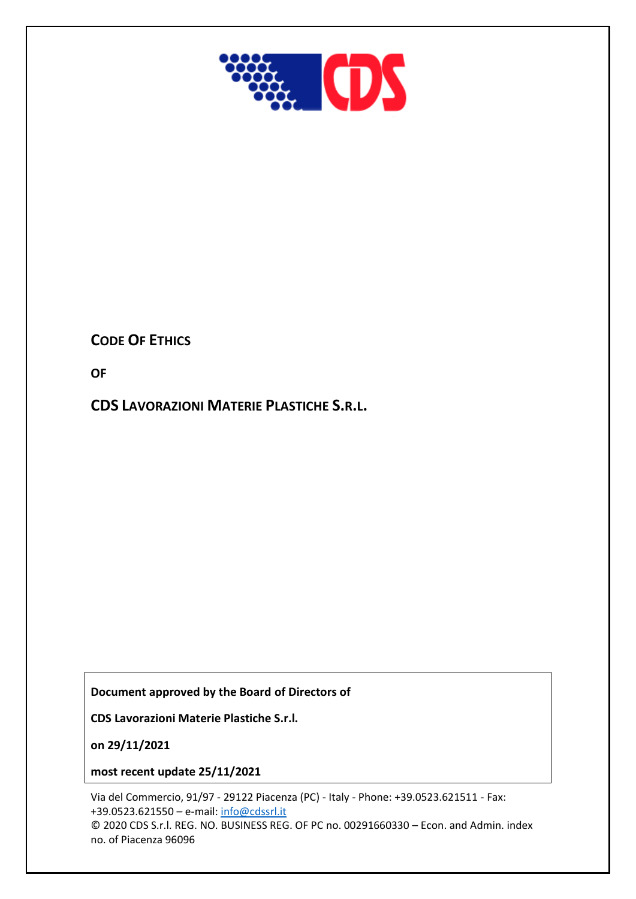

# **CODE OF ETHICS**

**OF**

**CDS LAVORAZIONI MATERIE PLASTICHE S.R.L.**

**Document approved by the Board of Directors of**

**CDS Lavorazioni Materie Plastiche S.r.l.**

**on 29/11/2021**

**most recent update 25/11/2021**

Via del Commercio, 91/97 - 29122 Piacenza (PC) - Italy - Phone: +39.0523.621511 - Fax: +39.0523.621550 – e-mail: [info@cdssrl.it](mailto:info@cdssrl.it)  © 2020 CDS S.r.l. REG. NO. BUSINESS REG. OF PC no. 00291660330 – Econ. and Admin. index no. of Piacenza 96096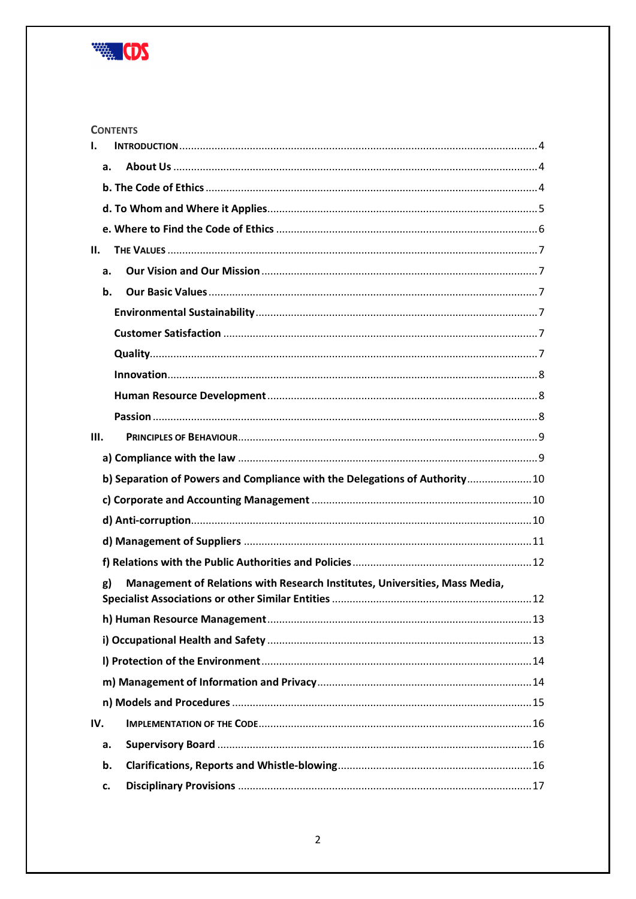

|      | <b>CONTENTS</b>                                                             |  |
|------|-----------------------------------------------------------------------------|--|
| I.   |                                                                             |  |
| a.   |                                                                             |  |
|      |                                                                             |  |
|      |                                                                             |  |
|      |                                                                             |  |
| Н.   |                                                                             |  |
| a.   |                                                                             |  |
| b.   |                                                                             |  |
|      |                                                                             |  |
|      |                                                                             |  |
|      |                                                                             |  |
|      |                                                                             |  |
|      |                                                                             |  |
|      |                                                                             |  |
| III. |                                                                             |  |
|      |                                                                             |  |
|      | b) Separation of Powers and Compliance with the Delegations of Authority 10 |  |
|      |                                                                             |  |
|      |                                                                             |  |
|      |                                                                             |  |
|      |                                                                             |  |
| g)   | Management of Relations with Research Institutes, Universities, Mass Media, |  |
|      |                                                                             |  |
|      |                                                                             |  |
|      |                                                                             |  |
|      |                                                                             |  |
|      |                                                                             |  |
|      |                                                                             |  |
| IV.  |                                                                             |  |
| a.   |                                                                             |  |
| b.   |                                                                             |  |
| c.   |                                                                             |  |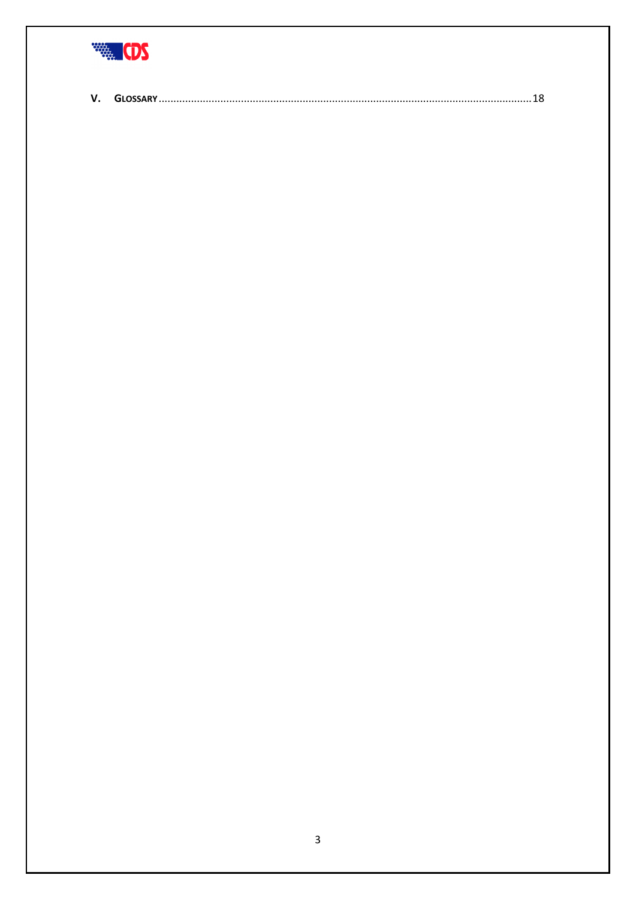

|--|--|--|--|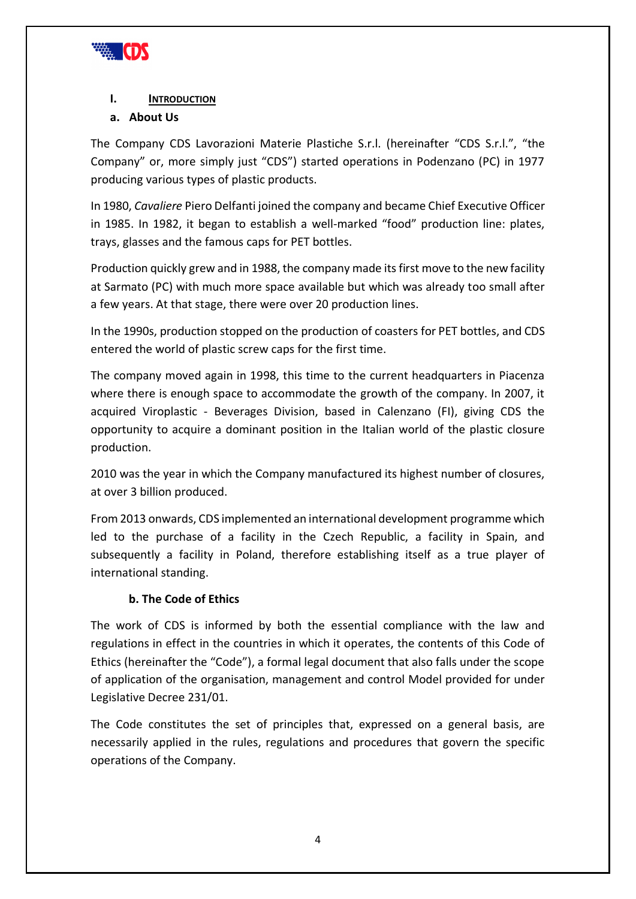

#### <span id="page-3-0"></span>**I. INTRODUCTION**

#### <span id="page-3-1"></span>**a. About Us**

The Company CDS Lavorazioni Materie Plastiche S.r.l. (hereinafter "CDS S.r.l.", "the Company" or, more simply just "CDS") started operations in Podenzano (PC) in 1977 producing various types of plastic products.

In 1980, *Cavaliere* Piero Delfanti joined the company and became Chief Executive Officer in 1985. In 1982, it began to establish a well-marked "food" production line: plates, trays, glasses and the famous caps for PET bottles.

Production quickly grew and in 1988, the company made its first move to the new facility at Sarmato (PC) with much more space available but which was already too small after a few years. At that stage, there were over 20 production lines.

In the 1990s, production stopped on the production of coasters for PET bottles, and CDS entered the world of plastic screw caps for the first time.

The company moved again in 1998, this time to the current headquarters in Piacenza where there is enough space to accommodate the growth of the company. In 2007, it acquired Viroplastic - Beverages Division, based in Calenzano (FI), giving CDS the opportunity to acquire a dominant position in the Italian world of the plastic closure production.

2010 was the year in which the Company manufactured its highest number of closures, at over 3 billion produced.

From 2013 onwards, CDS implemented an international development programme which led to the purchase of a facility in the Czech Republic, a facility in Spain, and subsequently a facility in Poland, therefore establishing itself as a true player of international standing.

#### **b. The Code of Ethics**

<span id="page-3-2"></span>The work of CDS is informed by both the essential compliance with the law and regulations in effect in the countries in which it operates, the contents of this Code of Ethics (hereinafter the "Code"), a formal legal document that also falls under the scope of application of the organisation, management and control Model provided for under Legislative Decree 231/01.

The Code constitutes the set of principles that, expressed on a general basis, are necessarily applied in the rules, regulations and procedures that govern the specific operations of the Company.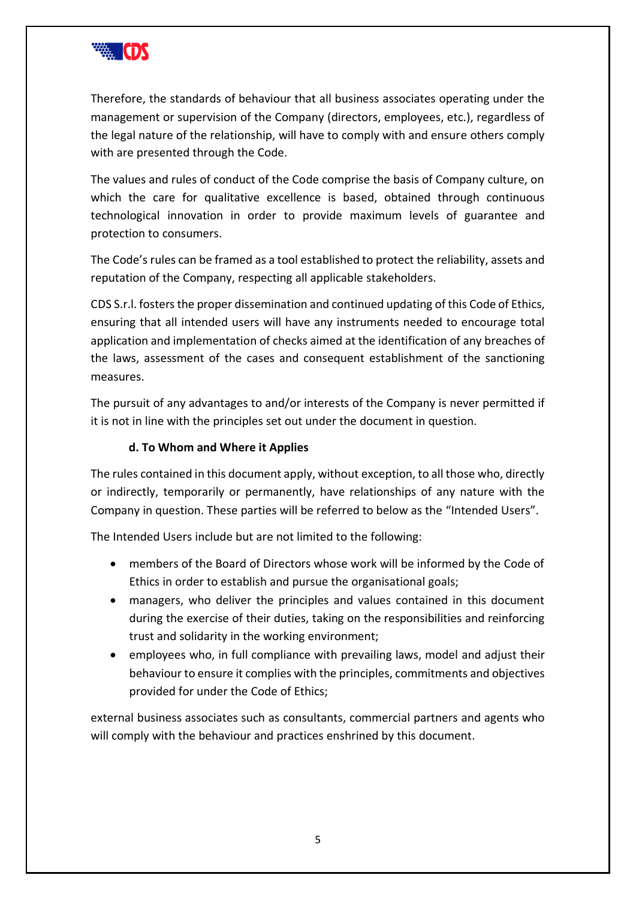

Therefore, the standards of behaviour that all business associates operating under the management or supervision of the Company (directors, employees, etc.), regardless of the legal nature of the relationship, will have to comply with and ensure others comply with are presented through the Code.

The values and rules of conduct of the Code comprise the basis of Company culture, on which the care for qualitative excellence is based, obtained through continuous technological innovation in order to provide maximum levels of guarantee and protection to consumers.

The Code's rules can be framed as a tool established to protect the reliability, assets and reputation of the Company, respecting all applicable stakeholders.

CDS S.r.l. fosters the proper dissemination and continued updating of this Code of Ethics, ensuring that all intended users will have any instruments needed to encourage total application and implementation of checks aimed at the identification of any breaches of the laws, assessment of the cases and consequent establishment of the sanctioning measures.

The pursuit of any advantages to and/or interests of the Company is never permitted if it is not in line with the principles set out under the document in question.

### **d. To Whom and Where it Applies**

<span id="page-4-0"></span>The rules contained in this document apply, without exception, to all those who, directly or indirectly, temporarily or permanently, have relationships of any nature with the Company in question. These parties will be referred to below as the "Intended Users".

The Intended Users include but are not limited to the following:

- members of the Board of Directors whose work will be informed by the Code of Ethics in order to establish and pursue the organisational goals;
- managers, who deliver the principles and values contained in this document during the exercise of their duties, taking on the responsibilities and reinforcing trust and solidarity in the working environment;
- employees who, in full compliance with prevailing laws, model and adjust their behaviour to ensure it complies with the principles, commitments and objectives provided for under the Code of Ethics;

external business associates such as consultants, commercial partners and agents who will comply with the behaviour and practices enshrined by this document.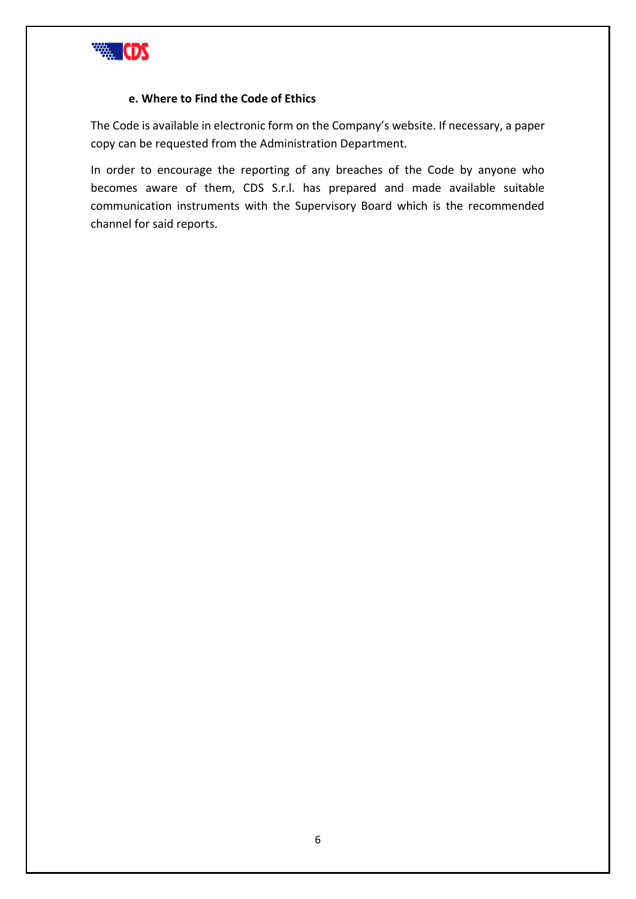

#### **e. Where to Find the Code of Ethics**

<span id="page-5-0"></span>The Code is available in electronic form on the Company's website. If necessary, a paper copy can be requested from the Administration Department.

In order to encourage the reporting of any breaches of the Code by anyone who becomes aware of them, CDS S.r.l. has prepared and made available suitable communication instruments with the Supervisory Board which is the recommended channel for said reports.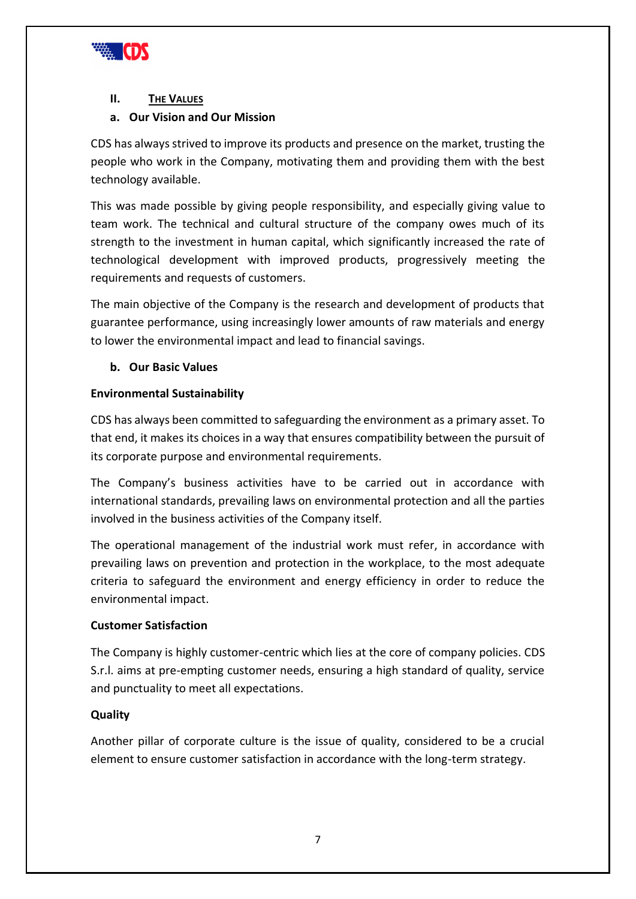

#### <span id="page-6-0"></span>**II.** THE VALUES

#### <span id="page-6-1"></span>**a. Our Vision and Our Mission**

CDS has always strived to improve its products and presence on the market, trusting the people who work in the Company, motivating them and providing them with the best technology available.

This was made possible by giving people responsibility, and especially giving value to team work. The technical and cultural structure of the company owes much of its strength to the investment in human capital, which significantly increased the rate of technological development with improved products, progressively meeting the requirements and requests of customers.

The main objective of the Company is the research and development of products that guarantee performance, using increasingly lower amounts of raw materials and energy to lower the environmental impact and lead to financial savings.

#### <span id="page-6-2"></span>**b. Our Basic Values**

#### <span id="page-6-3"></span>**Environmental Sustainability**

CDS has always been committed to safeguarding the environment as a primary asset. To that end, it makes its choices in a way that ensures compatibility between the pursuit of its corporate purpose and environmental requirements.

The Company's business activities have to be carried out in accordance with international standards, prevailing laws on environmental protection and all the parties involved in the business activities of the Company itself.

The operational management of the industrial work must refer, in accordance with prevailing laws on prevention and protection in the workplace, to the most adequate criteria to safeguard the environment and energy efficiency in order to reduce the environmental impact.

#### <span id="page-6-4"></span>**Customer Satisfaction**

The Company is highly customer-centric which lies at the core of company policies. CDS S.r.l. aims at pre-empting customer needs, ensuring a high standard of quality, service and punctuality to meet all expectations.

#### <span id="page-6-5"></span>**Quality**

Another pillar of corporate culture is the issue of quality, considered to be a crucial element to ensure customer satisfaction in accordance with the long-term strategy.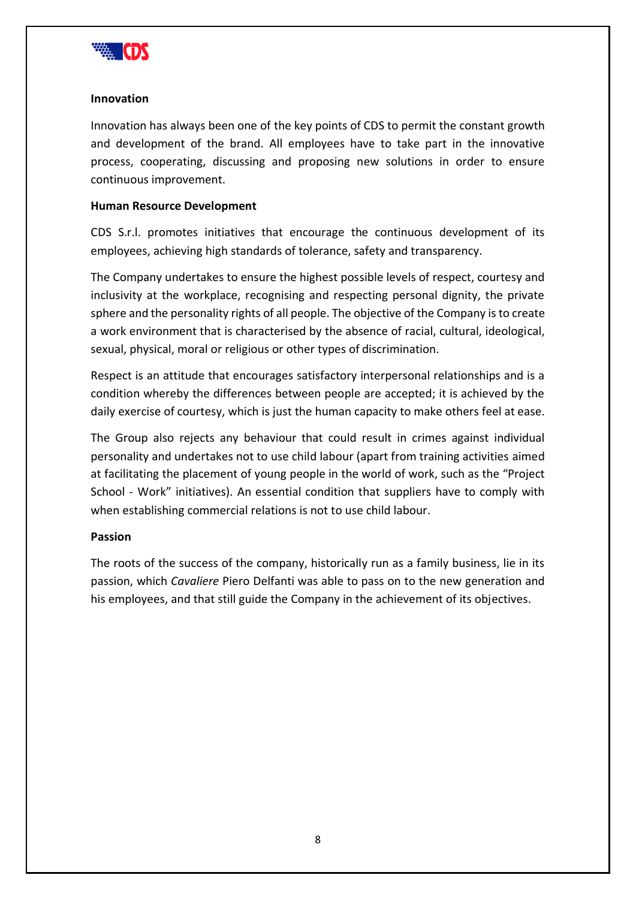

#### <span id="page-7-0"></span>**Innovation**

Innovation has always been one of the key points of CDS to permit the constant growth and development of the brand. All employees have to take part in the innovative process, cooperating, discussing and proposing new solutions in order to ensure continuous improvement.

#### <span id="page-7-1"></span>**Human Resource Development**

CDS S.r.l. promotes initiatives that encourage the continuous development of its employees, achieving high standards of tolerance, safety and transparency.

The Company undertakes to ensure the highest possible levels of respect, courtesy and inclusivity at the workplace, recognising and respecting personal dignity, the private sphere and the personality rights of all people. The objective of the Company is to create a work environment that is characterised by the absence of racial, cultural, ideological, sexual, physical, moral or religious or other types of discrimination.

Respect is an attitude that encourages satisfactory interpersonal relationships and is a condition whereby the differences between people are accepted; it is achieved by the daily exercise of courtesy, which is just the human capacity to make others feel at ease.

The Group also rejects any behaviour that could result in crimes against individual personality and undertakes not to use child labour (apart from training activities aimed at facilitating the placement of young people in the world of work, such as the "Project School - Work" initiatives). An essential condition that suppliers have to comply with when establishing commercial relations is not to use child labour.

#### <span id="page-7-2"></span>**Passion**

The roots of the success of the company, historically run as a family business, lie in its passion, which *Cavaliere* Piero Delfanti was able to pass on to the new generation and his employees, and that still guide the Company in the achievement of its objectives.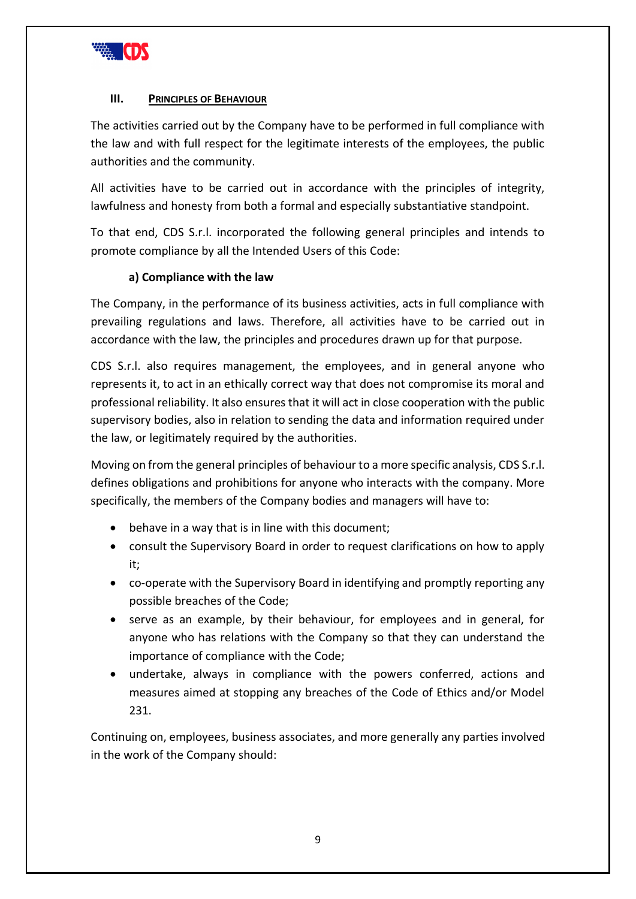

#### <span id="page-8-0"></span>**III.** PRINCIPLES OF **BEHAVIOUR**

The activities carried out by the Company have to be performed in full compliance with the law and with full respect for the legitimate interests of the employees, the public authorities and the community.

All activities have to be carried out in accordance with the principles of integrity, lawfulness and honesty from both a formal and especially substantiative standpoint.

To that end, CDS S.r.l. incorporated the following general principles and intends to promote compliance by all the Intended Users of this Code:

#### **a) Compliance with the law**

<span id="page-8-1"></span>The Company, in the performance of its business activities, acts in full compliance with prevailing regulations and laws. Therefore, all activities have to be carried out in accordance with the law, the principles and procedures drawn up for that purpose.

CDS S.r.l. also requires management, the employees, and in general anyone who represents it, to act in an ethically correct way that does not compromise its moral and professional reliability. It also ensures that it will act in close cooperation with the public supervisory bodies, also in relation to sending the data and information required under the law, or legitimately required by the authorities.

Moving on from the general principles of behaviour to a more specific analysis, CDS S.r.l. defines obligations and prohibitions for anyone who interacts with the company. More specifically, the members of the Company bodies and managers will have to:

- behave in a way that is in line with this document;
- consult the Supervisory Board in order to request clarifications on how to apply it;
- co-operate with the Supervisory Board in identifying and promptly reporting any possible breaches of the Code;
- serve as an example, by their behaviour, for employees and in general, for anyone who has relations with the Company so that they can understand the importance of compliance with the Code;
- undertake, always in compliance with the powers conferred, actions and measures aimed at stopping any breaches of the Code of Ethics and/or Model 231.

Continuing on, employees, business associates, and more generally any parties involved in the work of the Company should: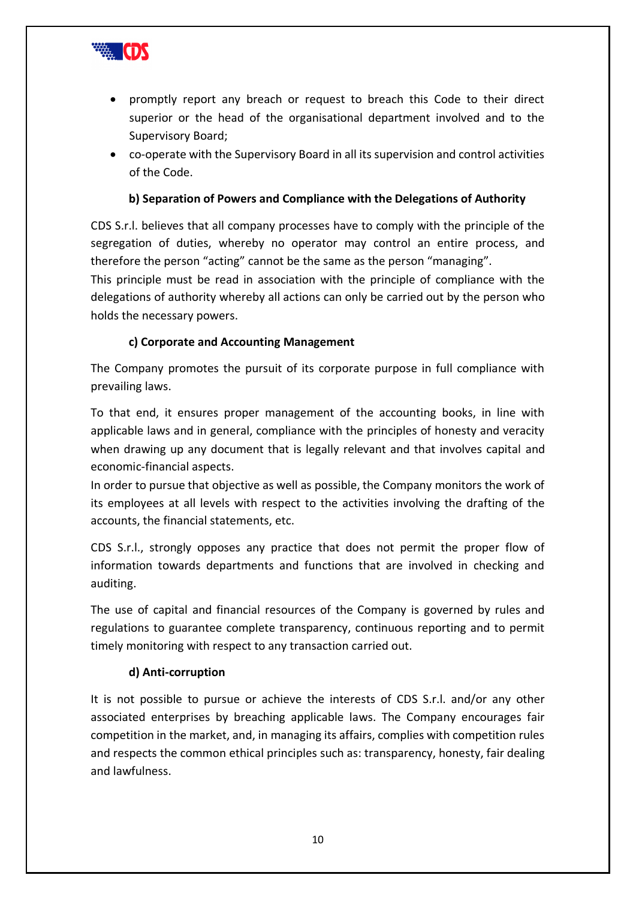

- promptly report any breach or request to breach this Code to their direct superior or the head of the organisational department involved and to the Supervisory Board;
- co-operate with the Supervisory Board in all its supervision and control activities of the Code.

#### **b) Separation of Powers and Compliance with the Delegations of Authority**

<span id="page-9-0"></span>CDS S.r.l. believes that all company processes have to comply with the principle of the segregation of duties, whereby no operator may control an entire process, and therefore the person "acting" cannot be the same as the person "managing".

This principle must be read in association with the principle of compliance with the delegations of authority whereby all actions can only be carried out by the person who holds the necessary powers.

#### **c) Corporate and Accounting Management**

<span id="page-9-1"></span>The Company promotes the pursuit of its corporate purpose in full compliance with prevailing laws.

To that end, it ensures proper management of the accounting books, in line with applicable laws and in general, compliance with the principles of honesty and veracity when drawing up any document that is legally relevant and that involves capital and economic-financial aspects.

In order to pursue that objective as well as possible, the Company monitors the work of its employees at all levels with respect to the activities involving the drafting of the accounts, the financial statements, etc.

CDS S.r.l., strongly opposes any practice that does not permit the proper flow of information towards departments and functions that are involved in checking and auditing.

The use of capital and financial resources of the Company is governed by rules and regulations to guarantee complete transparency, continuous reporting and to permit timely monitoring with respect to any transaction carried out.

#### **d) Anti-corruption**

<span id="page-9-2"></span>It is not possible to pursue or achieve the interests of CDS S.r.l. and/or any other associated enterprises by breaching applicable laws. The Company encourages fair competition in the market, and, in managing its affairs, complies with competition rules and respects the common ethical principles such as: transparency, honesty, fair dealing and lawfulness.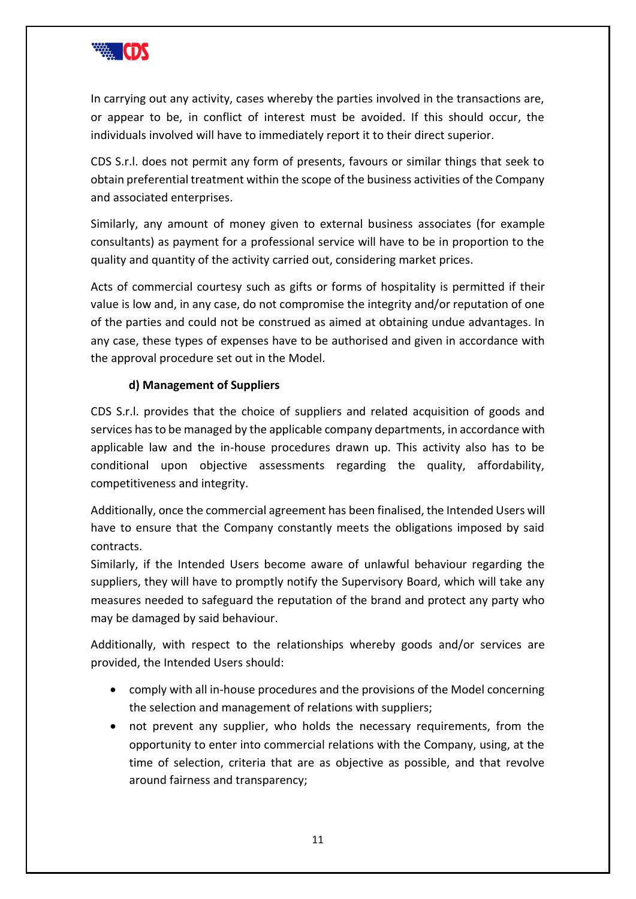

In carrying out any activity, cases whereby the parties involved in the transactions are, or appear to be, in conflict of interest must be avoided. If this should occur, the individuals involved will have to immediately report it to their direct superior.

CDS S.r.l. does not permit any form of presents, favours or similar things that seek to obtain preferential treatment within the scope of the business activities of the Company and associated enterprises.

Similarly, any amount of money given to external business associates (for example consultants) as payment for a professional service will have to be in proportion to the quality and quantity of the activity carried out, considering market prices.

Acts of commercial courtesy such as gifts or forms of hospitality is permitted if their value is low and, in any case, do not compromise the integrity and/or reputation of one of the parties and could not be construed as aimed at obtaining undue advantages. In any case, these types of expenses have to be authorised and given in accordance with the approval procedure set out in the Model.

#### **d) Management of Suppliers**

<span id="page-10-0"></span>CDS S.r.l. provides that the choice of suppliers and related acquisition of goods and services has to be managed by the applicable company departments, in accordance with applicable law and the in-house procedures drawn up. This activity also has to be conditional upon objective assessments regarding the quality, affordability, competitiveness and integrity.

Additionally, once the commercial agreement has been finalised, the Intended Users will have to ensure that the Company constantly meets the obligations imposed by said contracts.

Similarly, if the Intended Users become aware of unlawful behaviour regarding the suppliers, they will have to promptly notify the Supervisory Board, which will take any measures needed to safeguard the reputation of the brand and protect any party who may be damaged by said behaviour.

Additionally, with respect to the relationships whereby goods and/or services are provided, the Intended Users should:

- comply with all in-house procedures and the provisions of the Model concerning the selection and management of relations with suppliers;
- not prevent any supplier, who holds the necessary requirements, from the opportunity to enter into commercial relations with the Company, using, at the time of selection, criteria that are as objective as possible, and that revolve around fairness and transparency;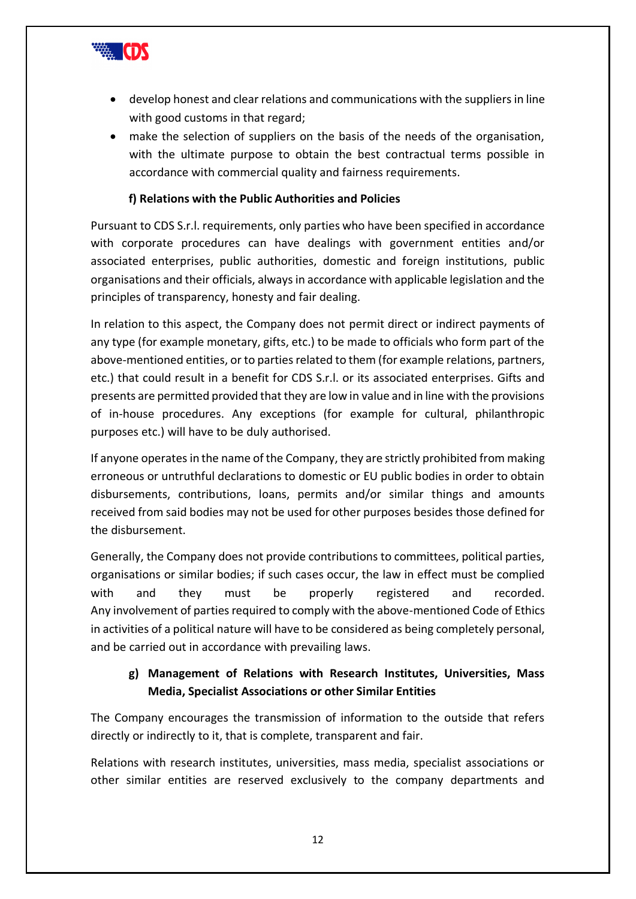

- develop honest and clear relations and communications with the suppliers in line with good customs in that regard;
- make the selection of suppliers on the basis of the needs of the organisation, with the ultimate purpose to obtain the best contractual terms possible in accordance with commercial quality and fairness requirements.

#### **f) Relations with the Public Authorities and Policies**

<span id="page-11-0"></span>Pursuant to CDS S.r.l. requirements, only parties who have been specified in accordance with corporate procedures can have dealings with government entities and/or associated enterprises, public authorities, domestic and foreign institutions, public organisations and their officials, always in accordance with applicable legislation and the principles of transparency, honesty and fair dealing.

In relation to this aspect, the Company does not permit direct or indirect payments of any type (for example monetary, gifts, etc.) to be made to officials who form part of the above-mentioned entities, or to parties related to them (for example relations, partners, etc.) that could result in a benefit for CDS S.r.l. or its associated enterprises. Gifts and presents are permitted provided that they are low in value and in line with the provisions of in-house procedures. Any exceptions (for example for cultural, philanthropic purposes etc.) will have to be duly authorised.

If anyone operates in the name of the Company, they are strictly prohibited from making erroneous or untruthful declarations to domestic or EU public bodies in order to obtain disbursements, contributions, loans, permits and/or similar things and amounts received from said bodies may not be used for other purposes besides those defined for the disbursement.

Generally, the Company does not provide contributions to committees, political parties, organisations or similar bodies; if such cases occur, the law in effect must be complied with and they must be properly registered and recorded. Any involvement of parties required to comply with the above-mentioned Code of Ethics in activities of a political nature will have to be considered as being completely personal, and be carried out in accordance with prevailing laws.

# <span id="page-11-1"></span>**g) Management of Relations with Research Institutes, Universities, Mass Media, Specialist Associations or other Similar Entities**

The Company encourages the transmission of information to the outside that refers directly or indirectly to it, that is complete, transparent and fair.

Relations with research institutes, universities, mass media, specialist associations or other similar entities are reserved exclusively to the company departments and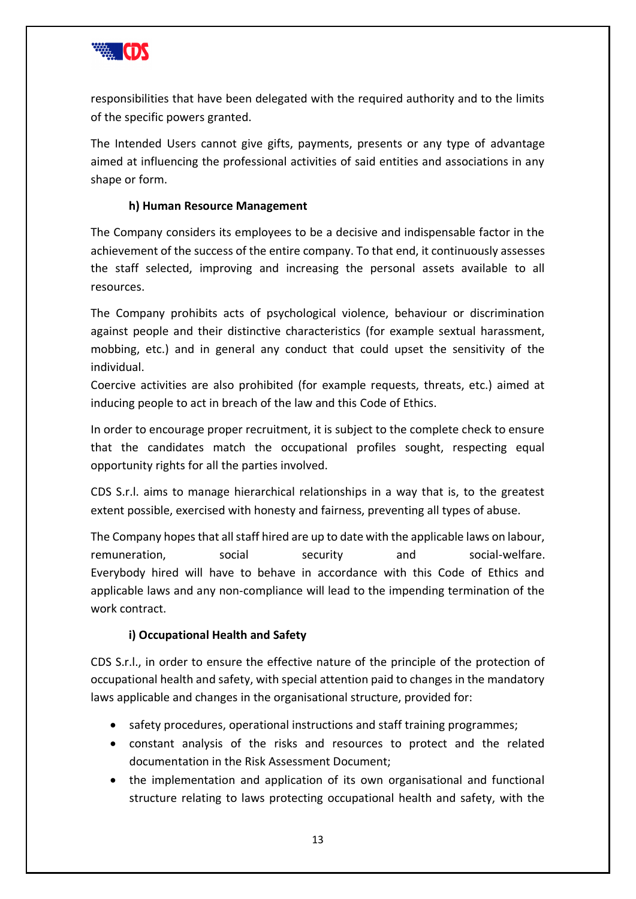

responsibilities that have been delegated with the required authority and to the limits of the specific powers granted.

The Intended Users cannot give gifts, payments, presents or any type of advantage aimed at influencing the professional activities of said entities and associations in any shape or form.

#### **h) Human Resource Management**

<span id="page-12-0"></span>The Company considers its employees to be a decisive and indispensable factor in the achievement of the success of the entire company. To that end, it continuously assesses the staff selected, improving and increasing the personal assets available to all resources.

The Company prohibits acts of psychological violence, behaviour or discrimination against people and their distinctive characteristics (for example sextual harassment, mobbing, etc.) and in general any conduct that could upset the sensitivity of the individual.

Coercive activities are also prohibited (for example requests, threats, etc.) aimed at inducing people to act in breach of the law and this Code of Ethics.

In order to encourage proper recruitment, it is subject to the complete check to ensure that the candidates match the occupational profiles sought, respecting equal opportunity rights for all the parties involved.

CDS S.r.l. aims to manage hierarchical relationships in a way that is, to the greatest extent possible, exercised with honesty and fairness, preventing all types of abuse.

The Company hopes that all staff hired are up to date with the applicable laws on labour, remuneration, social security and social-welfare. Everybody hired will have to behave in accordance with this Code of Ethics and applicable laws and any non-compliance will lead to the impending termination of the work contract.

#### **i) Occupational Health and Safety**

<span id="page-12-1"></span>CDS S.r.l., in order to ensure the effective nature of the principle of the protection of occupational health and safety, with special attention paid to changes in the mandatory laws applicable and changes in the organisational structure, provided for:

- safety procedures, operational instructions and staff training programmes;
- constant analysis of the risks and resources to protect and the related documentation in the Risk Assessment Document;
- the implementation and application of its own organisational and functional structure relating to laws protecting occupational health and safety, with the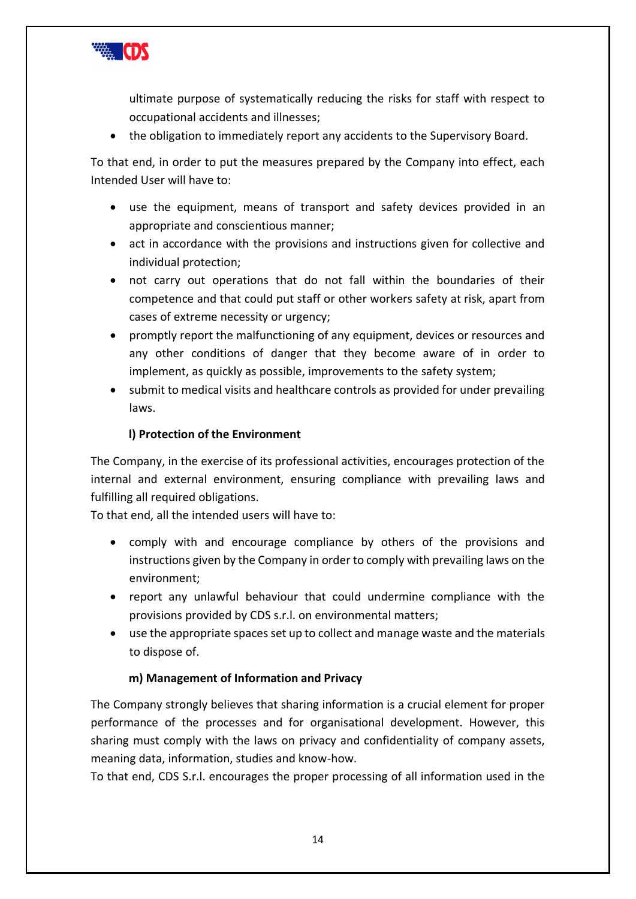

ultimate purpose of systematically reducing the risks for staff with respect to occupational accidents and illnesses;

• the obligation to immediately report any accidents to the Supervisory Board.

To that end, in order to put the measures prepared by the Company into effect, each Intended User will have to:

- use the equipment, means of transport and safety devices provided in an appropriate and conscientious manner;
- act in accordance with the provisions and instructions given for collective and individual protection;
- not carry out operations that do not fall within the boundaries of their competence and that could put staff or other workers safety at risk, apart from cases of extreme necessity or urgency;
- promptly report the malfunctioning of any equipment, devices or resources and any other conditions of danger that they become aware of in order to implement, as quickly as possible, improvements to the safety system;
- submit to medical visits and healthcare controls as provided for under prevailing laws.

### **l) Protection of the Environment**

<span id="page-13-0"></span>The Company, in the exercise of its professional activities, encourages protection of the internal and external environment, ensuring compliance with prevailing laws and fulfilling all required obligations.

To that end, all the intended users will have to:

- comply with and encourage compliance by others of the provisions and instructions given by the Company in order to comply with prevailing laws on the environment;
- report any unlawful behaviour that could undermine compliance with the provisions provided by CDS s.r.l. on environmental matters;
- use the appropriate spaces set up to collect and manage waste and the materials to dispose of.

#### **m) Management of Information and Privacy**

<span id="page-13-1"></span>The Company strongly believes that sharing information is a crucial element for proper performance of the processes and for organisational development. However, this sharing must comply with the laws on privacy and confidentiality of company assets, meaning data, information, studies and know-how.

To that end, CDS S.r.l. encourages the proper processing of all information used in the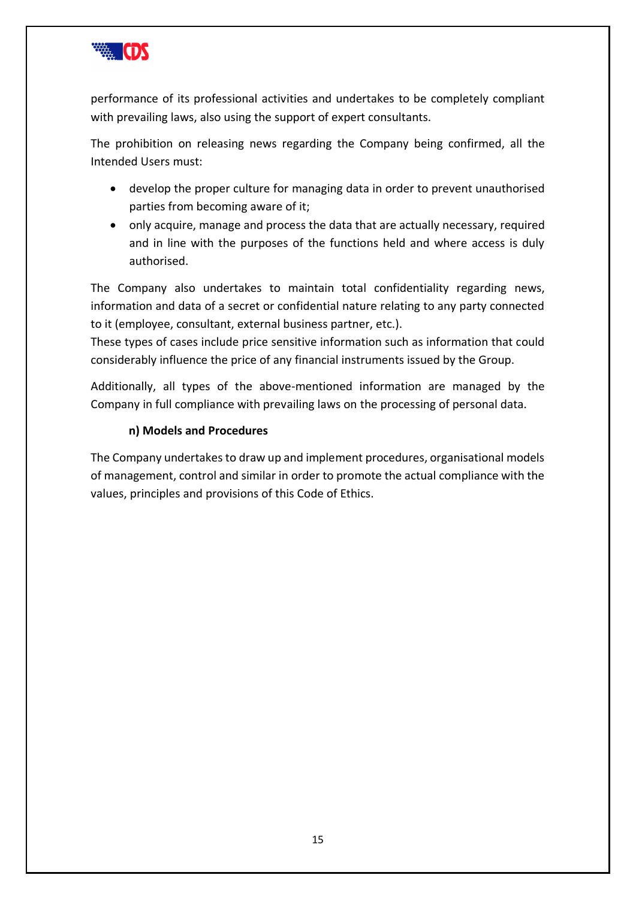

performance of its professional activities and undertakes to be completely compliant with prevailing laws, also using the support of expert consultants.

The prohibition on releasing news regarding the Company being confirmed, all the Intended Users must:

- develop the proper culture for managing data in order to prevent unauthorised parties from becoming aware of it;
- only acquire, manage and process the data that are actually necessary, required and in line with the purposes of the functions held and where access is duly authorised.

The Company also undertakes to maintain total confidentiality regarding news, information and data of a secret or confidential nature relating to any party connected to it (employee, consultant, external business partner, etc.).

These types of cases include price sensitive information such as information that could considerably influence the price of any financial instruments issued by the Group.

Additionally, all types of the above-mentioned information are managed by the Company in full compliance with prevailing laws on the processing of personal data.

# **n) Models and Procedures**

<span id="page-14-0"></span>The Company undertakes to draw up and implement procedures, organisational models of management, control and similar in order to promote the actual compliance with the values, principles and provisions of this Code of Ethics.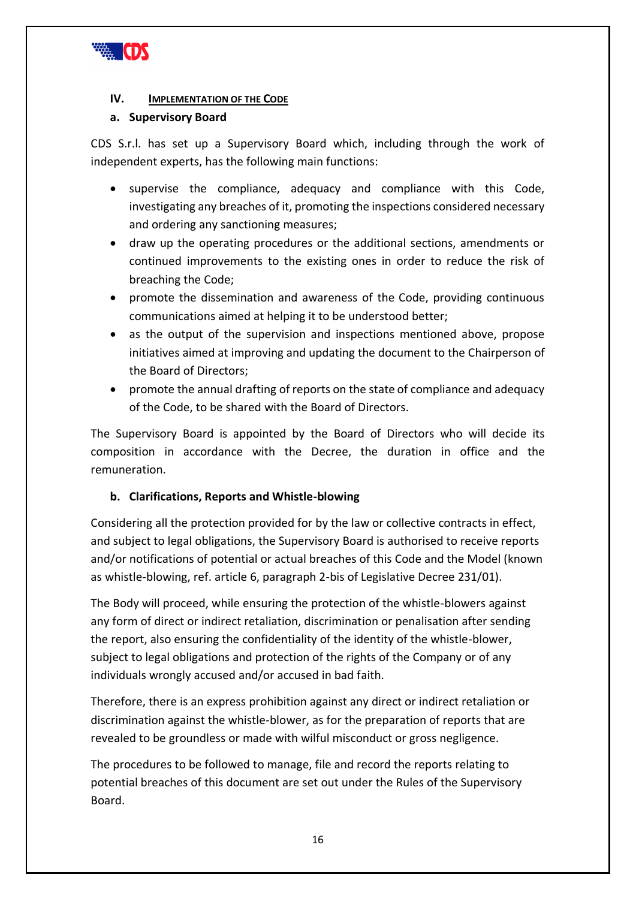

#### <span id="page-15-0"></span>**IV. IMPLEMENTATION OF THE CODE**

#### <span id="page-15-1"></span>**a. Supervisory Board**

CDS S.r.l. has set up a Supervisory Board which, including through the work of independent experts, has the following main functions:

- supervise the compliance, adequacy and compliance with this Code, investigating any breaches of it, promoting the inspections considered necessary and ordering any sanctioning measures;
- draw up the operating procedures or the additional sections, amendments or continued improvements to the existing ones in order to reduce the risk of breaching the Code;
- promote the dissemination and awareness of the Code, providing continuous communications aimed at helping it to be understood better;
- as the output of the supervision and inspections mentioned above, propose initiatives aimed at improving and updating the document to the Chairperson of the Board of Directors;
- promote the annual drafting of reports on the state of compliance and adequacy of the Code, to be shared with the Board of Directors.

The Supervisory Board is appointed by the Board of Directors who will decide its composition in accordance with the Decree, the duration in office and the remuneration.

#### <span id="page-15-2"></span>**b. Clarifications, Reports and Whistle-blowing**

Considering all the protection provided for by the law or collective contracts in effect, and subject to legal obligations, the Supervisory Board is authorised to receive reports and/or notifications of potential or actual breaches of this Code and the Model (known as whistle-blowing, ref. article 6, paragraph 2-bis of Legislative Decree 231/01).

The Body will proceed, while ensuring the protection of the whistle-blowers against any form of direct or indirect retaliation, discrimination or penalisation after sending the report, also ensuring the confidentiality of the identity of the whistle-blower, subject to legal obligations and protection of the rights of the Company or of any individuals wrongly accused and/or accused in bad faith.

Therefore, there is an express prohibition against any direct or indirect retaliation or discrimination against the whistle-blower, as for the preparation of reports that are revealed to be groundless or made with wilful misconduct or gross negligence.

The procedures to be followed to manage, file and record the reports relating to potential breaches of this document are set out under the Rules of the Supervisory Board.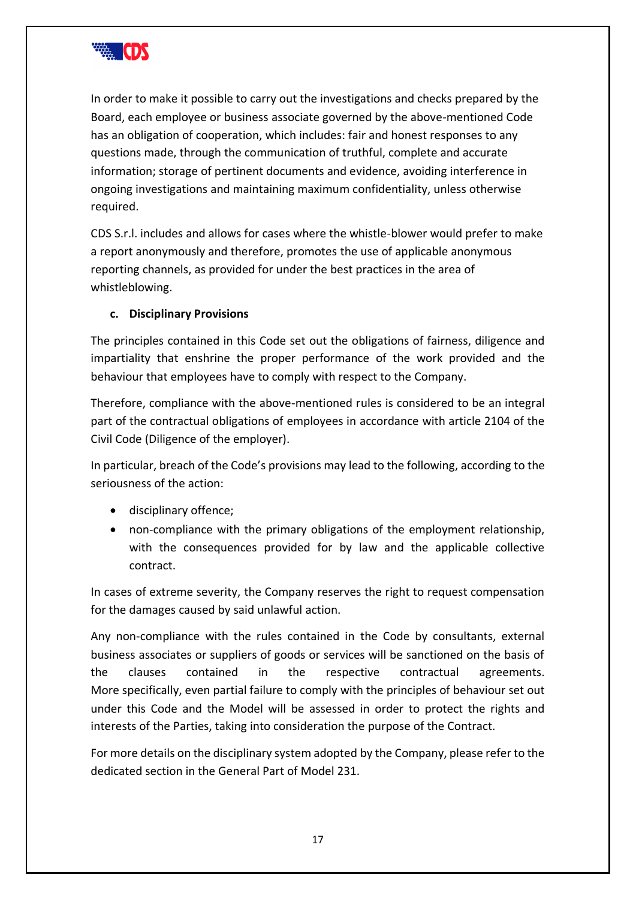

In order to make it possible to carry out the investigations and checks prepared by the Board, each employee or business associate governed by the above-mentioned Code has an obligation of cooperation, which includes: fair and honest responses to any questions made, through the communication of truthful, complete and accurate information; storage of pertinent documents and evidence, avoiding interference in ongoing investigations and maintaining maximum confidentiality, unless otherwise required.

CDS S.r.l. includes and allows for cases where the whistle-blower would prefer to make a report anonymously and therefore, promotes the use of applicable anonymous reporting channels, as provided for under the best practices in the area of whistleblowing.

#### <span id="page-16-0"></span>**c. Disciplinary Provisions**

The principles contained in this Code set out the obligations of fairness, diligence and impartiality that enshrine the proper performance of the work provided and the behaviour that employees have to comply with respect to the Company.

Therefore, compliance with the above-mentioned rules is considered to be an integral part of the contractual obligations of employees in accordance with article 2104 of the Civil Code (Diligence of the employer).

In particular, breach of the Code's provisions may lead to the following, according to the seriousness of the action:

- disciplinary offence;
- non-compliance with the primary obligations of the employment relationship, with the consequences provided for by law and the applicable collective contract.

In cases of extreme severity, the Company reserves the right to request compensation for the damages caused by said unlawful action.

Any non-compliance with the rules contained in the Code by consultants, external business associates or suppliers of goods or services will be sanctioned on the basis of the clauses contained in the respective contractual agreements. More specifically, even partial failure to comply with the principles of behaviour set out under this Code and the Model will be assessed in order to protect the rights and interests of the Parties, taking into consideration the purpose of the Contract.

For more details on the disciplinary system adopted by the Company, please refer to the dedicated section in the General Part of Model 231.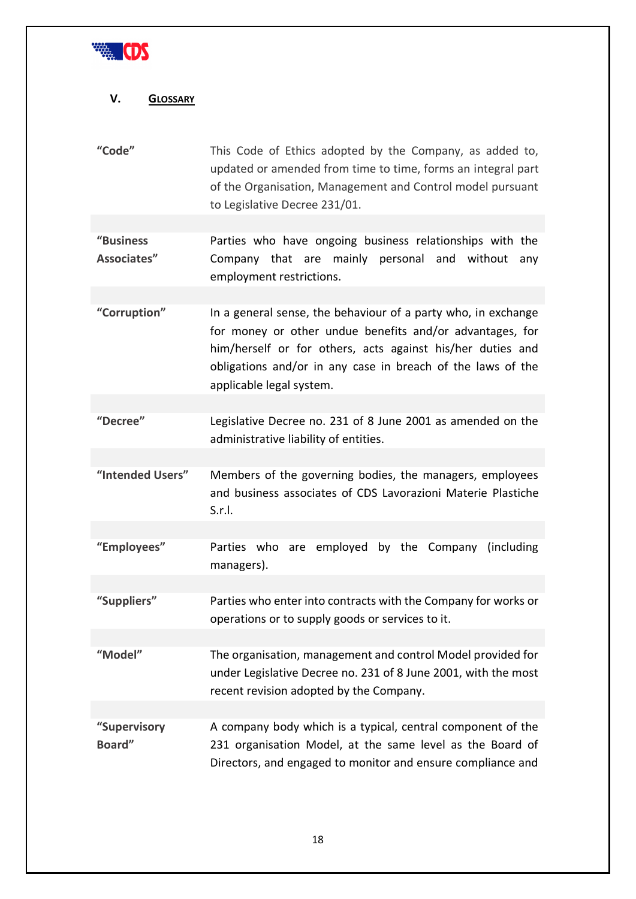

# <span id="page-17-0"></span>**V. GLOSSARY**

| "Code"                   | This Code of Ethics adopted by the Company, as added to,<br>updated or amended from time to time, forms an integral part<br>of the Organisation, Management and Control model pursuant<br>to Legislative Decree 231/01.                                                            |  |  |
|--------------------------|------------------------------------------------------------------------------------------------------------------------------------------------------------------------------------------------------------------------------------------------------------------------------------|--|--|
|                          |                                                                                                                                                                                                                                                                                    |  |  |
| "Business<br>Associates" | Parties who have ongoing business relationships with the<br>Company that are mainly personal and<br>without<br>any<br>employment restrictions.                                                                                                                                     |  |  |
|                          |                                                                                                                                                                                                                                                                                    |  |  |
| "Corruption"             | In a general sense, the behaviour of a party who, in exchange<br>for money or other undue benefits and/or advantages, for<br>him/herself or for others, acts against his/her duties and<br>obligations and/or in any case in breach of the laws of the<br>applicable legal system. |  |  |
|                          |                                                                                                                                                                                                                                                                                    |  |  |
| "Decree"                 | Legislative Decree no. 231 of 8 June 2001 as amended on the<br>administrative liability of entities.                                                                                                                                                                               |  |  |
|                          |                                                                                                                                                                                                                                                                                    |  |  |
| "Intended Users"         | Members of the governing bodies, the managers, employees<br>and business associates of CDS Lavorazioni Materie Plastiche<br>S.r.l.                                                                                                                                                 |  |  |
|                          |                                                                                                                                                                                                                                                                                    |  |  |
| "Employees"              | Parties who are employed by the Company (including<br>managers).                                                                                                                                                                                                                   |  |  |
| "Suppliers"              | Parties who enter into contracts with the Company for works or                                                                                                                                                                                                                     |  |  |
|                          | operations or to supply goods or services to it.                                                                                                                                                                                                                                   |  |  |
|                          |                                                                                                                                                                                                                                                                                    |  |  |
| "Model"                  | The organisation, management and control Model provided for<br>under Legislative Decree no. 231 of 8 June 2001, with the most<br>recent revision adopted by the Company.                                                                                                           |  |  |
|                          |                                                                                                                                                                                                                                                                                    |  |  |
| "Supervisory<br>Board"   | A company body which is a typical, central component of the<br>231 organisation Model, at the same level as the Board of<br>Directors, and engaged to monitor and ensure compliance and                                                                                            |  |  |